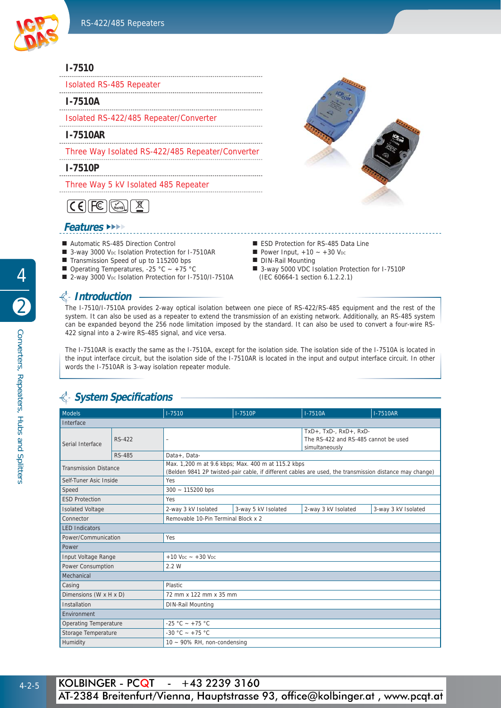

#### **I-7510**

| <b>Isolated RS-485 Repeater</b> |  |  |  |
|---------------------------------|--|--|--|
| <b>I-7510A</b>                  |  |  |  |

Isolated RS-422/485 Repeater/Converter

**I-7510AR**

Three Way Isolated RS-422/485 Repeater/Converter 

**I-7510P**

Three Way 5 kV Isolated 485 Repeater

 $\boxed{\mathsf{CE}}$  $\underline{\mathbb{X}}$ 

#### **Features** ►►►►

- Automatic RS-485 Direction Control
- 3-way 3000 V<sub>DC</sub> Isolation Protection for I-7510AR
- Transmission Speed of up to 115200 bps
- **Operating Temperatures, -25 °C ~ +75 °C**
- 2-way 3000 VDc Isolation Protection for I-7510/I-7510A

## **Introduction**

The I-7510/I-7510A provides 2-way optical isolation between one piece of RS-422/RS-485 equipment and the rest of the system. It can also be used as a repeater to extend the transmission of an existing network. Additionally, an RS-485 system can be expanded beyond the 256 node limitation imposed by the standard. It can also be used to convert a four-wire RS-422 signal into a 2-wire RS-485 signal, and vice versa.

The I-7510AR is exactly the same as the I-7510A, except for the isolation side. The isolation side of the I-7510A is located in the input interface circuit, but the isolation side of the I-7510AR is located in the input and output interface circuit. In other words the I-7510AR is 3-way isolation repeater module.

# **System Specifi cations**

| Models                       |               | $1 - 7510$                                                                                                                                                    | $I - 7510P$         | $1-7510A$                                                                                   | <b>I-7510AR</b>     |  |
|------------------------------|---------------|---------------------------------------------------------------------------------------------------------------------------------------------------------------|---------------------|---------------------------------------------------------------------------------------------|---------------------|--|
| Interface                    |               |                                                                                                                                                               |                     |                                                                                             |                     |  |
| Serial Interface             | <b>RS-422</b> | $\overline{\phantom{0}}$                                                                                                                                      |                     | $TxD+$ , $TxD-$ , $RxD+$ , $RxD-$<br>The RS-422 and RS-485 cannot be used<br>simultaneously |                     |  |
|                              | <b>RS-485</b> | Data+, Data-                                                                                                                                                  |                     |                                                                                             |                     |  |
| <b>Transmission Distance</b> |               | Max. 1,200 m at 9.6 kbps; Max. 400 m at 115.2 kbps<br>(Belden 9841 2P twisted-pair cable, if different cables are used, the transmission distance may change) |                     |                                                                                             |                     |  |
| Self-Tuner Asic Inside       |               | Yes                                                                                                                                                           |                     |                                                                                             |                     |  |
| Speed                        |               | $300 - 115200$ bps                                                                                                                                            |                     |                                                                                             |                     |  |
| <b>ESD Protection</b>        |               | Yes                                                                                                                                                           |                     |                                                                                             |                     |  |
| <b>Isolated Voltage</b>      |               | 2-way 3 kV Isolated                                                                                                                                           | 3-way 5 kV Isolated | 2-way 3 kV Isolated                                                                         | 3-way 3 kV Isolated |  |
| Connector                    |               | Removable 10-Pin Terminal Block x 2                                                                                                                           |                     |                                                                                             |                     |  |
| <b>LED</b> Indicators        |               |                                                                                                                                                               |                     |                                                                                             |                     |  |
| Power/Communication          |               | Yes                                                                                                                                                           |                     |                                                                                             |                     |  |
| Power                        |               |                                                                                                                                                               |                     |                                                                                             |                     |  |
| Input Voltage Range          |               | $+10$ V <sub>DC</sub> $- +30$ V <sub>DC</sub>                                                                                                                 |                     |                                                                                             |                     |  |
| Power Consumption            |               | 2.2 W                                                                                                                                                         |                     |                                                                                             |                     |  |
| Mechanical                   |               |                                                                                                                                                               |                     |                                                                                             |                     |  |
| Casing                       |               | Plastic                                                                                                                                                       |                     |                                                                                             |                     |  |
| Dimensions (W x H x D)       |               | 72 mm x 122 mm x 35 mm                                                                                                                                        |                     |                                                                                             |                     |  |
| Installation                 |               | <b>DIN-Rail Mounting</b>                                                                                                                                      |                     |                                                                                             |                     |  |
| Environment                  |               |                                                                                                                                                               |                     |                                                                                             |                     |  |
| <b>Operating Temperature</b> |               | $-25 °C - +75 °C$                                                                                                                                             |                     |                                                                                             |                     |  |
| Storage Temperature          |               | $-30 °C - +75 °C$                                                                                                                                             |                     |                                                                                             |                     |  |
| Humidity                     |               | $10 \sim 90\%$ RH, non-condensing                                                                                                                             |                     |                                                                                             |                     |  |



- ESD Protection for RS-485 Data Line
- Power Input,  $+10 +30$  V<sub>DC</sub>
- DIN-Rail Mounting
- 3-way 5000 VDC Isolation Protection for I-7510P (IEC 60664-1 section 6.1.2.2.1)

4